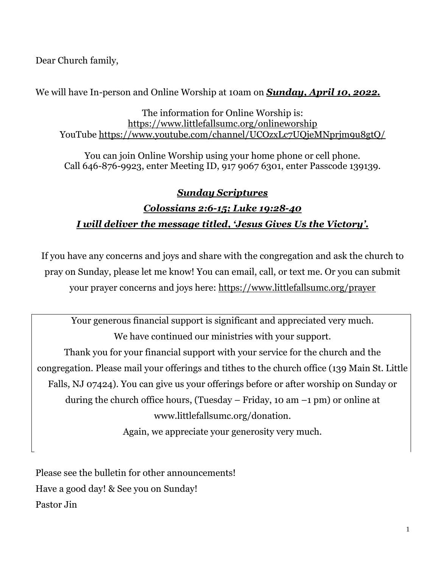Dear Church family,

We will have In-person and Online Worship at 10am on *Sunday, April 10, 2022.*

The information for Online Worship is: <https://www.littlefallsumc.org/onlineworship> YouTube<https://www.youtube.com/channel/UCOzxLc7UQjeMNprjm9u8gtQ/>

You can join Online Worship using your home phone or cell phone. Call 646-876-9923, enter Meeting ID, 917 9067 6301, enter Passcode 139139.

# *Sunday Scriptures*

# *Colossians 2:6-15; Luke 19:28-40 I will deliver the message titled, 'Jesus Gives Us the Victory'.*

If you have any concerns and joys and share with the congregation and ask the church to pray on Sunday, please let me know! You can email, call, or text me. Or you can submit your prayer concerns and joys here: <https://www.littlefallsumc.org/prayer>

Your generous financial support is significant and appreciated very much. We have continued our ministries with your support. Thank you for your financial support with your service for the church and the congregation. Please mail your offerings and tithes to the church office (139 Main St. Little Falls, NJ 07424). You can give us your offerings before or after worship on Sunday or during the church office hours, (Tuesday – Friday, 10 am –1 pm) or online at www.littlefallsumc.org/donation.

Again, we appreciate your generosity very much.

Please see the bulletin for other announcements! Have a good day! & See you on Sunday! Pastor Jin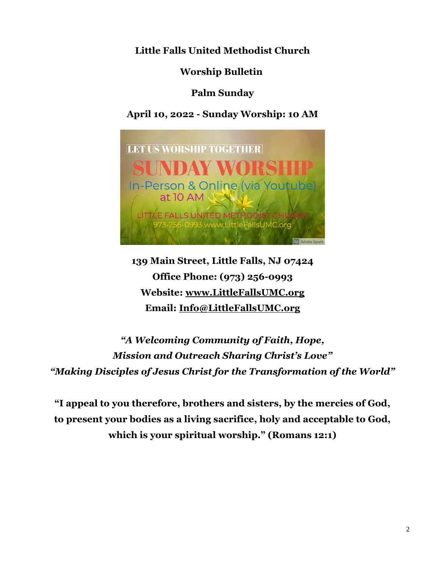**Little Falls United Methodist Church**

**Worship Bulletin**

**Palm Sunday**

**April 10, 2022 - Sunday Worship: 10 AM**



**139 Main Street, Little Falls, NJ 07424 Office Phone: (973) 256-0993 Website: [www.LittleFallsUMC.org](http://www.littlefallsumc.org/) Email: [Info@LittleFallsUMC.org](mailto:Info@LittleFallsUMC.org)**

*"A Welcoming Community of Faith, Hope, Mission and Outreach Sharing Christ's Love" "Making Disciples of Jesus Christ for the Transformation of the World"*

**"I appeal to you therefore, brothers and sisters, by the mercies of God, to present your bodies as a living sacrifice, holy and acceptable to God, which is your spiritual worship." (Romans 12:1)**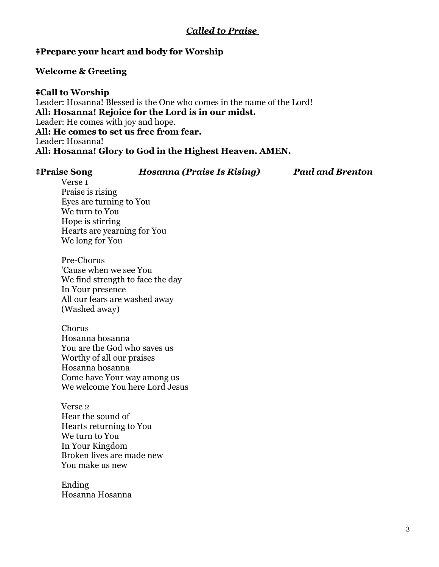# *Called to Praise*

### ⭻**Prepare your heart and body for Worship**

### **Welcome & Greeting**

⭻**Call to Worship** Leader: Hosanna! Blessed is the One who comes in the name of the Lord! **All: Hosanna! Rejoice for the Lord is in our midst.** Leader: He comes with joy and hope. **All: He comes to set us free from fear.** Leader: Hosanna! **All: Hosanna! Glory to God in the Highest Heaven. AMEN.**

⭻**Praise Song** *Hosanna (Praise Is Rising) Paul and Brenton*

Verse 1 Praise is rising Eyes are turning to You We turn to You Hope is stirring Hearts are yearning for You We long for You

Pre-Chorus 'Cause when we see You We find strength to face the day In Your presence All our fears are washed away (Washed away)

Chorus Hosanna hosanna You are the God who saves us Worthy of all our praises Hosanna hosanna Come have Your way among us We welcome You here Lord Jesus

Verse 2 Hear the sound of Hearts returning to You We turn to You In Your Kingdom Broken lives are made new You make us new

Ending Hosanna Hosanna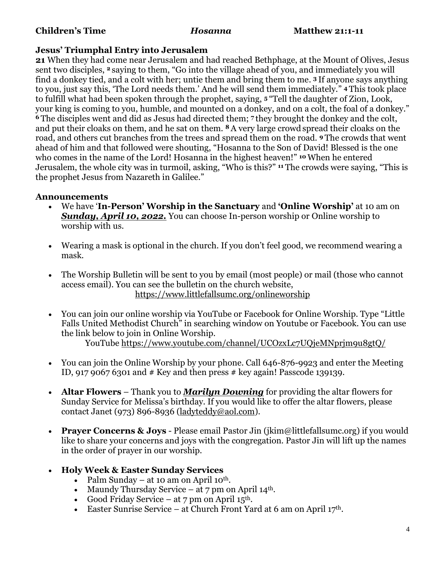# **Children's Time** *Hosanna* **Matthew 21:1-11**

# **Jesus' Triumphal Entry into Jerusalem**

**21** When they had come near Jerusalem and had reached Bethphage, at the Mount of Olives, Jesus sent two disciples, **<sup>2</sup>** saying to them, "Go into the village ahead of you, and immediately you will find a donkey tied, and a colt with her; untie them and bring them to me. **<sup>3</sup>** If anyone says anything to you, just say this, 'The Lord needs them.' And he will send them immediately." **<sup>4</sup>** This took place to fulfill what had been spoken through the prophet, saying, **<sup>5</sup>** "Tell the daughter of Zion, Look, your king is coming to you, humble, and mounted on a donkey, and on a colt, the foal of a donkey." **<sup>6</sup>** The disciples went and did as Jesus had directed them; **<sup>7</sup>** they brought the donkey and the colt, and put their cloaks on them, and he sat on them. **<sup>8</sup>** A very large crowd spread their cloaks on the road, and others cut branches from the trees and spread them on the road. **<sup>9</sup>** The crowds that went ahead of him and that followed were shouting, "Hosanna to the Son of David! Blessed is the one who comes in the name of the Lord! Hosanna in the highest heaven!" **<sup>10</sup>** When he entered Jerusalem, the whole city was in turmoil, asking, "Who is this?" **<sup>11</sup>** The crowds were saying, "This is the prophet Jesus from Nazareth in Galilee."

# **Announcements**

- We have '**In-Person' Worship in the Sanctuary** and **'Online Worship'** at 10 am on *Sunday, April 10, 2022.* You can choose In-person worship or Online worship to worship with us.
- Wearing a mask is optional in the church. If you don't feel good, we recommend wearing a mask.
- The Worship Bulletin will be sent to you by email (most people) or mail (those who cannot access email). You can see the bulletin on the church website, <https://www.littlefallsumc.org/onlineworship>
- You can join our online worship via YouTube or Facebook for Online Worship. Type "Little" Falls United Methodist Church" in searching window on Youtube or Facebook. You can use the link below to join in Online Worship.

YouTube<https://www.youtube.com/channel/UCOzxLc7UQjeMNprjm9u8gtQ/>

- You can join the Online Worship by your phone. Call 646-876-9923 and enter the Meeting ID, 917 9067 6301 and  $#$  Key and then press  $#$  key again! Passcode 139139.
- **Altar Flowers** Thank you to *Marilyn Downing* for providing the altar flowers for Sunday Service for Melissa's birthday. If you would like to offer the altar flowers, please contact Janet (973) 896-8936 [\(ladyteddy@aol.com\)](mailto:ladyteddy@aol.com).
- **Prayer Concerns & Joys** Please email Pastor Jin (jkim@littlefallsumc.org) if you would like to share your concerns and joys with the congregation. Pastor Jin will lift up the names in the order of prayer in our worship.
- **Holy Week & Easter Sunday Services**
	- Palm Sunday at 10 am on April  $10^{th}$ .
	- Maundy Thursday Service at  $7 \text{ pm}$  on April 14<sup>th</sup>.
	- Good Friday Service at 7 pm on April  $15^{th}$ .
	- Easter Sunrise Service at Church Front Yard at 6 am on April  $17<sup>th</sup>$ .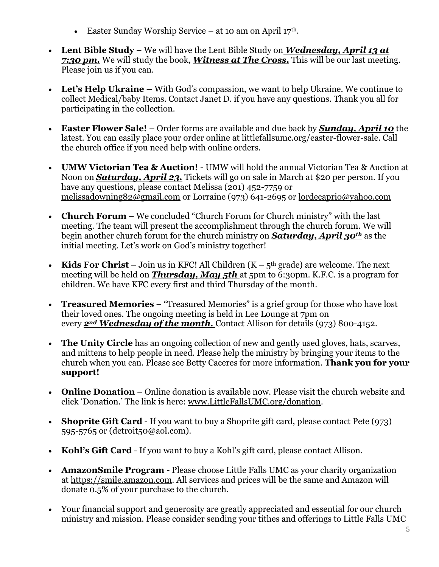- Easter Sunday Worship Service at 10 am on April  $17<sup>th</sup>$ .
- **Lent Bible Study** We will have the Lent Bible Study on *Wednesday, April 13 at 7:30 pm.* We will study the book, *Witness at The Cross***.** This will be our last meeting. Please join us if you can.
- Let's Help Ukraine With God's compassion, we want to help Ukraine. We continue to collect Medical/baby Items. Contact Janet D. if you have any questions. Thank you all for participating in the collection.
- **Easter Flower Sale!** Order forms are available and due back by *Sunday, April 10* the latest. You can easily place your order online at littlefallsumc.org/easter-flower-sale. Call the church office if you need help with online orders.
- **UMW Victorian Tea & Auction!** UMW will hold the annual Victorian Tea & Auction at Noon on *Saturday, April 23.* Tickets will go on sale in March at \$20 per person. If you have any questions, please contact Melissa (201) 452-7759 or [melissadowning82@gmail.com](mailto:melissadowning82@gmail.com) or Lorraine (973) 641-2695 or [lordecaprio@yahoo.com](mailto:lordecaprio@yahoo.com)
- **Church Forum** We concluded "Church Forum for Church ministry" with the last meeting. The team will present the accomplishment through the church forum. We will begin another church forum for the church ministry on *Saturday, April 30th* as the initial meeting. Let's work on God's ministry together!
- **Kids For Christ** Join us in KFC! All Children  $(K 5<sup>th</sup> \text{ grade})$  are welcome. The next meeting will be held on *Thursday, May 5th* at 5pm to 6:30pm. K.F.C. is a program for children. We have KFC every first and third Thursday of the month.
- **Treasured Memories** "Treasured Memories" is a grief group for those who have lost their loved ones. The ongoing meeting is held in Lee Lounge at 7pm on every *2nd Wednesday of the month.* Contact Allison for details (973) 800-4152.
- **The Unity Circle** has an ongoing collection of new and gently used gloves, hats, scarves, and mittens to help people in need. Please help the ministry by bringing your items to the church when you can. Please see Betty Caceres for more information. **Thank you for your support!**
- **Online Donation** Online donation is available now. Please visit the church website and click 'Donation.' The link is here: [www.LittleFallsUMC.org/donation.](http://www.littlefallsumc.org/donation)
- **Shoprite Gift Card** If you want to buy a Shoprite gift card, please contact Pete (973) 595-5765 or [\(detroit50@aol.com\)](mailto:detroit50@aol.com).
- **Kohl's Gift Card** If you want to buy a Kohl's gift card, please contact Allison.
- **AmazonSmile Program**  Please choose Little Falls UMC as your charity organization at https://smile.amazon.com. All services and prices will be the same and Amazon will donate 0.5% of your purchase to the church.
- Your financial support and generosity are greatly appreciated and essential for our church ministry and mission. Please consider sending your tithes and offerings to Little Falls UMC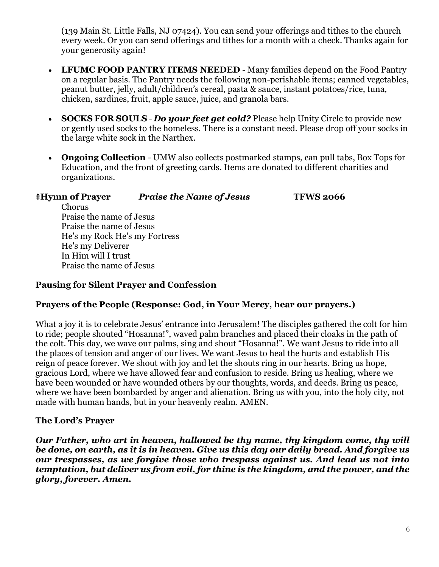(139 Main St. Little Falls, NJ 07424). You can send your offerings and tithes to the church every week. Or you can send offerings and tithes for a month with a check. Thanks again for your generosity again!

- **LFUMC FOOD PANTRY ITEMS NEEDED** Many families depend on the Food Pantry on a regular basis. The Pantry needs the following non-perishable items; canned vegetables, peanut butter, jelly, adult/children's cereal, pasta & sauce, instant potatoes/rice, tuna, chicken, sardines, fruit, apple sauce, juice, and granola bars.
- **SOCKS FOR SOULS** *Do your feet get cold?* Please help Unity Circle to provide new or gently used socks to the homeless. There is a constant need. Please drop off your socks in the large white sock in the Narthex.
- **Ongoing Collection** UMW also collects postmarked stamps, can pull tabs, Box Tops for Education, and the front of greeting cards. Items are donated to different charities and organizations.

⭻**Hymn of Prayer** *Praise the Name of Jesus* **TFWS 2066**

Chorus Praise the name of Jesus Praise the name of Jesus He's my Rock He's my Fortress He's my Deliverer In Him will I trust Praise the name of Jesus

# **Pausing for Silent Prayer and Confession**

# **Prayers of the People (Response: God, in Your Mercy, hear our prayers.)**

What a joy it is to celebrate Jesus' entrance into Jerusalem! The disciples gathered the colt for him to ride; people shouted "Hosanna!", waved palm branches and placed their cloaks in the path of the colt. This day, we wave our palms, sing and shout "Hosanna!". We want Jesus to ride into all the places of tension and anger of our lives. We want Jesus to heal the hurts and establish His reign of peace forever. We shout with joy and let the shouts ring in our hearts. Bring us hope, gracious Lord, where we have allowed fear and confusion to reside. Bring us healing, where we have been wounded or have wounded others by our thoughts, words, and deeds. Bring us peace, where we have been bombarded by anger and alienation. Bring us with you, into the holy city, not made with human hands, but in your heavenly realm. AMEN.

# **The Lord's Prayer**

*Our Father, who art in heaven, hallowed be thy name, thy kingdom come, thy will be done, on earth, as it is in heaven. Give us this day our daily bread. And forgive us our trespasses, as we forgive those who trespass against us. And lead us not into temptation, but deliver us from evil, for thine is the kingdom, and the power, and the glory, forever. Amen.*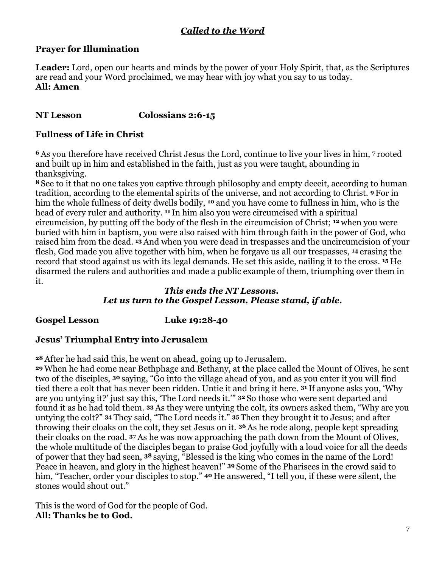# *Called to the Word*

# **Prayer for Illumination**

**Leader:** Lord, open our hearts and minds by the power of your Holy Spirit, that, as the Scriptures are read and your Word proclaimed, we may hear with joy what you say to us today. **All: Amen**

### **NT Lesson Colossians 2:6-15**

### **Fullness of Life in Christ**

**<sup>6</sup>**As you therefore have received Christ Jesus the Lord, continue to live your lives in him, **<sup>7</sup>** rooted and built up in him and established in the faith, just as you were taught, abounding in thanksgiving.

**<sup>8</sup>** See to it that no one takes you captive through philosophy and empty deceit, according to human tradition, according to the elemental spirits of the universe, and not according to Christ. **<sup>9</sup>** For in him the whole fullness of deity dwells bodily, **<sup>10</sup>** and you have come to fullness in him, who is the head of every ruler and authority. **<sup>11</sup>** In him also you were circumcised with a spiritual circumcision, by putting off the body of the flesh in the circumcision of Christ; **<sup>12</sup>** when you were buried with him in baptism, you were also raised with him through faith in the power of God, who raised him from the dead. **<sup>13</sup>** And when you were dead in trespasses and the uncircumcision of your flesh, God made you alive together with him, when he forgave us all our trespasses, **<sup>14</sup>** erasing the record that stood against us with its legal demands. He set this aside, nailing it to the cross. **<sup>15</sup>** He disarmed the rulers and authorities and made a public example of them, triumphing over them in it.

#### *This ends the NT Lessons. Let us turn to the Gospel Lesson. Please stand, if able.*

**Gospel Lesson Luke 19:28-40**

# **Jesus' Triumphal Entry into Jerusalem**

**<sup>28</sup>** After he had said this, he went on ahead, going up to Jerusalem.

**<sup>29</sup>** When he had come near Bethphage and Bethany, at the place called the Mount of Olives, he sent two of the disciples, **<sup>30</sup>** saying, "Go into the village ahead of you, and as you enter it you will find tied there a colt that has never been ridden. Untie it and bring it here. **<sup>31</sup>** If anyone asks you, 'Why are you untying it?' just say this, 'The Lord needs it.'" **<sup>32</sup>** So those who were sent departed and found it as he had told them. **<sup>33</sup>** As they were untying the colt, its owners asked them, "Why are you untying the colt?" **<sup>34</sup>** They said, "The Lord needs it." **<sup>35</sup>** Then they brought it to Jesus; and after throwing their cloaks on the colt, they set Jesus on it. **<sup>36</sup>**As he rode along, people kept spreading their cloaks on the road. **<sup>37</sup>** As he was now approaching the path down from the Mount of Olives, the whole multitude of the disciples began to praise God joyfully with a loud voice for all the deeds of power that they had seen, **<sup>38</sup>** saying, "Blessed is the king who comes in the name of the Lord! Peace in heaven, and glory in the highest heaven!" **<sup>39</sup>** Some of the Pharisees in the crowd said to him, "Teacher, order your disciples to stop." **<sup>40</sup>** He answered, "I tell you, if these were silent, the stones would shout out."

This is the word of God for the people of God. **All: Thanks be to God.**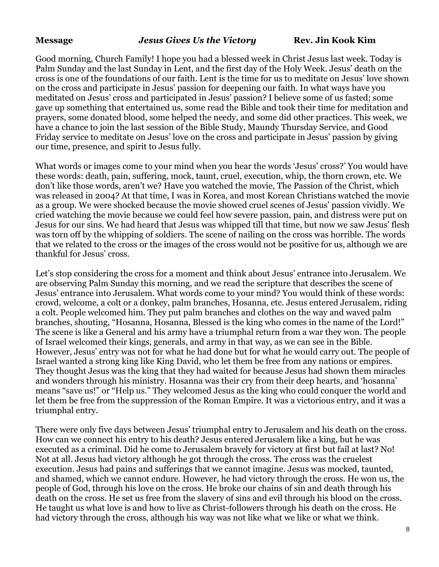Good morning, Church Family! I hope you had a blessed week in Christ Jesus last week. Today is Palm Sunday and the last Sunday in Lent, and the first day of the Holy Week. Jesus' death on the cross is one of the foundations of our faith. Lent is the time for us to meditate on Jesus' love shown on the cross and participate in Jesus' passion for deepening our faith. In what ways have you meditated on Jesus' cross and participated in Jesus' passion? I believe some of us fasted; some gave up something that entertained us, some read the Bible and took their time for meditation and prayers, some donated blood, some helped the needy, and some did other practices. This week, we have a chance to join the last session of the Bible Study, Maundy Thursday Service, and Good Friday service to meditate on Jesus' love on the cross and participate in Jesus' passion by giving our time, presence, and spirit to Jesus fully.

What words or images come to your mind when you hear the words 'Jesus' cross?' You would have these words: death, pain, suffering, mock, taunt, cruel, execution, whip, the thorn crown, etc. We don't like those words, aren't we? Have you watched the movie, The Passion of the Christ, which was released in 2004? At that time, I was in Korea, and most Korean Christians watched the movie as a group. We were shocked because the movie showed cruel scenes of Jesus' passion vividly. We cried watching the movie because we could feel how severe passion, pain, and distress were put on Jesus for our sins. We had heard that Jesus was whipped till that time, but now we saw Jesus' flesh was torn off by the whipping of soldiers. The scene of nailing on the cross was horrible. The words that we related to the cross or the images of the cross would not be positive for us, although we are thankful for Jesus' cross.

Let's stop considering the cross for a moment and think about Jesus' entrance into Jerusalem. We are observing Palm Sunday this morning, and we read the scripture that describes the scene of Jesus' entrance into Jerusalem. What words come to your mind? You would think of these words: crowd, welcome, a colt or a donkey, palm branches, Hosanna, etc. Jesus entered Jerusalem, riding a colt. People welcomed him. They put palm branches and clothes on the way and waved palm branches, shouting, "Hosanna, Hosanna, Blessed is the king who comes in the name of the Lord!" The scene is like a General and his army have a triumphal return from a war they won. The people of Israel welcomed their kings, generals, and army in that way, as we can see in the Bible. However, Jesus' entry was not for what he had done but for what he would carry out. The people of Israel wanted a strong king like King David, who let them be free from any nations or empires. They thought Jesus was the king that they had waited for because Jesus had shown them miracles and wonders through his ministry. Hosanna was their cry from their deep hearts, and 'hosanna' means "save us!" or "Help us." They welcomed Jesus as the king who could conquer the world and let them be free from the suppression of the Roman Empire. It was a victorious entry, and it was a triumphal entry.

There were only five days between Jesus' triumphal entry to Jerusalem and his death on the cross. How can we connect his entry to his death? Jesus entered Jerusalem like a king, but he was executed as a criminal. Did he come to Jerusalem bravely for victory at first but fail at last? No! Not at all. Jesus had victory although he got through the cross. The cross was the cruelest execution. Jesus had pains and sufferings that we cannot imagine. Jesus was mocked, taunted, and shamed, which we cannot endure. However, he had victory through the cross. He won us, the people of God, through his love on the cross. He broke our chains of sin and death through his death on the cross. He set us free from the slavery of sins and evil through his blood on the cross. He taught us what love is and how to live as Christ-followers through his death on the cross. He had victory through the cross, although his way was not like what we like or what we think.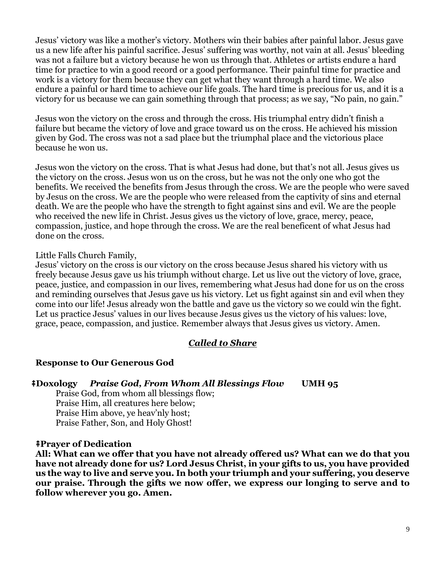Jesus' victory was like a mother's victory. Mothers win their babies after painful labor. Jesus gave us a new life after his painful sacrifice. Jesus' suffering was worthy, not vain at all. Jesus' bleeding was not a failure but a victory because he won us through that. Athletes or artists endure a hard time for practice to win a good record or a good performance. Their painful time for practice and work is a victory for them because they can get what they want through a hard time. We also endure a painful or hard time to achieve our life goals. The hard time is precious for us, and it is a victory for us because we can gain something through that process; as we say, "No pain, no gain."

Jesus won the victory on the cross and through the cross. His triumphal entry didn't finish a failure but became the victory of love and grace toward us on the cross. He achieved his mission given by God. The cross was not a sad place but the triumphal place and the victorious place because he won us.

Jesus won the victory on the cross. That is what Jesus had done, but that's not all. Jesus gives us the victory on the cross. Jesus won us on the cross, but he was not the only one who got the benefits. We received the benefits from Jesus through the cross. We are the people who were saved by Jesus on the cross. We are the people who were released from the captivity of sins and eternal death. We are the people who have the strength to fight against sins and evil. We are the people who received the new life in Christ. Jesus gives us the victory of love, grace, mercy, peace, compassion, justice, and hope through the cross. We are the real beneficent of what Jesus had done on the cross.

#### Little Falls Church Family,

Jesus' victory on the cross is our victory on the cross because Jesus shared his victory with us freely because Jesus gave us his triumph without charge. Let us live out the victory of love, grace, peace, justice, and compassion in our lives, remembering what Jesus had done for us on the cross and reminding ourselves that Jesus gave us his victory. Let us fight against sin and evil when they come into our life! Jesus already won the battle and gave us the victory so we could win the fight. Let us practice Jesus' values in our lives because Jesus gives us the victory of his values: love, grace, peace, compassion, and justice. Remember always that Jesus gives us victory. Amen.

# *Called to Share*

#### **Response to Our Generous God**

#### ⭻**Doxology** *Praise God, From Whom All Blessings Flow* **UMH 95**

Praise God, from whom all blessings flow; Praise Him, all creatures here below; Praise Him above, ye heav'nly host; Praise Father, Son, and Holy Ghost!

#### ⭻**Prayer of Dedication**

**All: What can we offer that you have not already offered us? What can we do that you have not already done for us? Lord Jesus Christ, in your gifts to us, you have provided us the way to live and serve you. In both your triumph and your suffering, you deserve our praise. Through the gifts we now offer, we express our longing to serve and to follow wherever you go. Amen.**